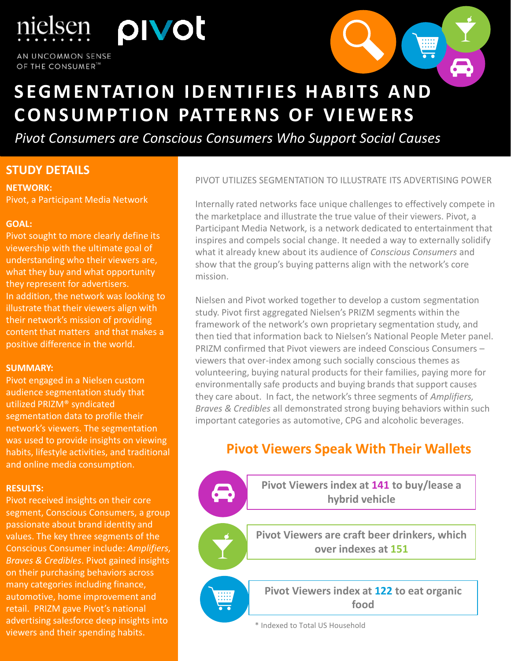pivot AN UNCOMMON SENSE OF THE CONSUMER<sup>TA</sup>

ielsen



# **SEGMENTATION IDENTIFIES HABITS AND CONSUMPTION PATTERNS OF VIEWERS**

*Pivot Consumers are Conscious Consumers Who Support Social Causes*

## **STUDY DETAILS**

**NETWORK:** Pivot, a Participant Media Network

### **GOAL:**

Pivot sought to more clearly define its viewership with the ultimate goal of understanding who their viewers are, what they buy and what opportunity they represent for advertisers. In addition, the network was looking to illustrate that their viewers align with their network's mission of providing content that matters and that makes a positive difference in the world.

#### **SUMMARY:**

Pivot engaged in a Nielsen custom audience segmentation study that utilized PRIZM® syndicated segmentation data to profile their network's viewers. The segmentation was used to provide insights on viewing habits, lifestyle activities, and traditional and online media consumption.

## **RESULTS:**

viewers and their spending habits. Pivot received insights on their core segment, Conscious Consumers, a group passionate about brand identity and values. The key three segments of the Conscious Consumer include: *Amplifiers, Braves & Credibles*. Pivot gained insights on their purchasing behaviors across many categories including finance, automotive, home improvement and retail. PRIZM gave Pivot's national advertising salesforce deep insights into

are trademarks or  $\mathcal{L}_\mathrm{C}$  trademarks or  $\mathcal{L}_\mathrm{C}$  and  $\mathcal{L}_\mathrm{C}$ 

PIVOT UTILIZES SEGMENTATION TO ILLUSTRATE ITS ADVERTISING POWER

Internally rated networks face unique challenges to effectively compete in the marketplace and illustrate the true value of their viewers. Pivot, a Participant Media Network, is a network dedicated to entertainment that inspires and compels social change. It needed a way to externally solidify what it already knew about its audience of *Conscious Consumers* and show that the group's buying patterns align with the network's core mission.

Nielsen and Pivot worked together to develop a custom segmentation study. Pivot first aggregated Nielsen's PRIZM segments within the framework of the network's own proprietary segmentation study, and then tied that information back to Nielsen's National People Meter panel. PRIZM confirmed that Pivot viewers are indeed Conscious Consumers – viewers that over-index among such socially conscious themes as volunteering, buying natural products for their families, paying more for environmentally safe products and buying brands that support causes they care about. In fact, the network's three segments of *Amplifiers, Braves & Credibles* all demonstrated strong buying behaviors within such important categories as automotive, CPG and alcoholic beverages.

## **Pivot Viewers Speak With Their Wallets**